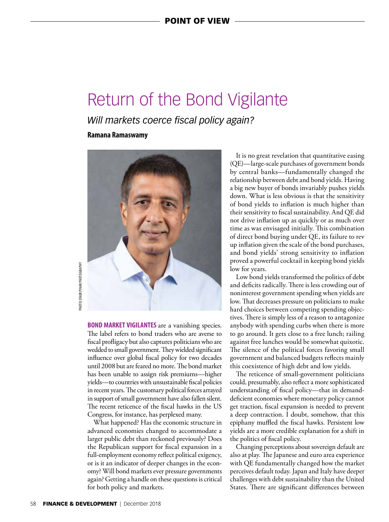## Return of the Bond Vigilante

*Will markets coerce fiscal policy again?*

**Ramana Ramaswamy** 



PHOTO: ONUR PINAR PHOTOGRAPHY **PHOTO: ONUR PINAR PHOTOGRAPHY** 

> **BOND MARKET VIGILANTES** are a vanishing species. The label refers to bond traders who are averse to fiscal profligacy but also captures politicians who are wedded to small government. They wielded significant influence over global fiscal policy for two decades until 2008 but are feared no more. The bond market has been unable to assign risk premiums—higher yields—to countries with unsustainable fiscal policies in recent years. The customary political forces arrayed in support of small government have also fallen silent. The recent reticence of the fiscal hawks in the US Congress, for instance, has perplexed many.

> What happened? Has the economic structure in advanced economies changed to accommodate a larger public debt than reckoned previously? Does the Republican support for fiscal expansion in a full-employment economy reflect political exigency, or is it an indicator of deeper changes in the economy? Will bond markets ever pressure governments again? Getting a handle on these questions is critical for both policy and markets.

It is no great revelation that quantitative easing (QE)—large-scale purchases of government bonds by central banks—fundamentally changed the relationship between debt and bond yields. Having a big new buyer of bonds invariably pushes yields down. What is less obvious is that the sensitivity of bond yields to inflation is much higher than their sensitivity to fiscal sustainability. And QE did not drive inflation up as quickly or as much over time as was envisaged initially. This combination of direct bond buying under QE, its failure to rev up inflation given the scale of the bond purchases, and bond yields' strong sensitivity to inflation proved a powerful cocktail in keeping bond yields low for years.

Low bond yields transformed the politics of debt and deficits radically. There is less crowding out of noninterest government spending when yields are low. That decreases pressure on politicians to make hard choices between competing spending objectives. There is simply less of a reason to antagonize anybody with spending curbs when there is more to go around. It gets close to a free lunch; railing against free lunches would be somewhat quixotic. The silence of the political forces favoring small government and balanced budgets reflects mainly this coexistence of high debt and low yields.

The reticence of small-government politicians could, presumably, also reflect a more sophisticated understanding of fiscal policy—that in demanddeficient economies where monetary policy cannot get traction, fiscal expansion is needed to prevent a deep contraction. I doubt, somehow, that this epiphany muffled the fiscal hawks. Persistent low yields are a more credible explanation for a shift in the politics of fiscal policy.

Changing perceptions about sovereign default are also at play. The Japanese and euro area experience with QE fundamentally changed how the market perceives default today. Japan and Italy have deeper challenges with debt sustainability than the United States. There are significant differences between